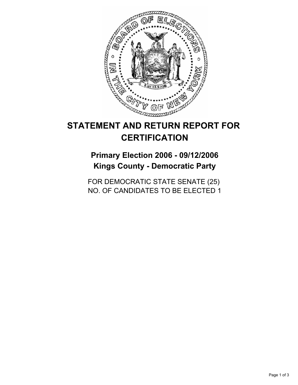

# **STATEMENT AND RETURN REPORT FOR CERTIFICATION**

# **Primary Election 2006 - 09/12/2006 Kings County - Democratic Party**

FOR DEMOCRATIC STATE SENATE (25) NO. OF CANDIDATES TO BE ELECTED 1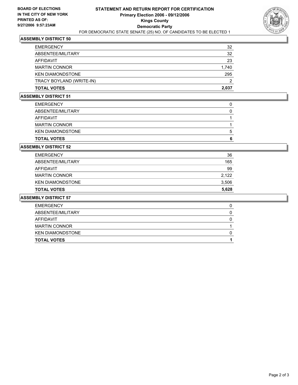

## **ASSEMBLY DISTRICT 50**

| <b>EMERGENCY</b>         | 32    |
|--------------------------|-------|
| ABSENTEE/MILITARY        | 32    |
| AFFIDAVIT                | 23    |
| <b>MARTIN CONNOR</b>     | 1,740 |
| <b>KEN DIAMONDSTONE</b>  | 295   |
| TRACY BOYLAND (WRITE-IN) | 2     |
| <b>TOTAL VOTES</b>       | 2,037 |

#### **ASSEMBLY DISTRICT 51**

| <b>TOTAL VOTES</b>      |  |
|-------------------------|--|
| <b>KEN DIAMONDSTONE</b> |  |
| <b>MARTIN CONNOR</b>    |  |
| AFFIDAVIT               |  |
| ABSENTEE/MILITARY       |  |
| <b>EMERGENCY</b>        |  |

#### **ASSEMBLY DISTRICT 52**

| <b>TOTAL VOTES</b>   | 5,628 |
|----------------------|-------|
| KEN DIAMONDSTONE     | 3,506 |
| <b>MARTIN CONNOR</b> | 2,122 |
| AFFIDAVIT            | 99    |
| ABSENTEE/MILITARY    | 165   |
| <b>EMERGENCY</b>     | 36    |

#### **ASSEMBLY DISTRICT 57**

| <b>TOTAL VOTES</b>      |  |
|-------------------------|--|
| <b>KEN DIAMONDSTONE</b> |  |
| <b>MARTIN CONNOR</b>    |  |
| AFFIDAVIT               |  |
| ABSENTEE/MILITARY       |  |
| <b>EMERGENCY</b>        |  |